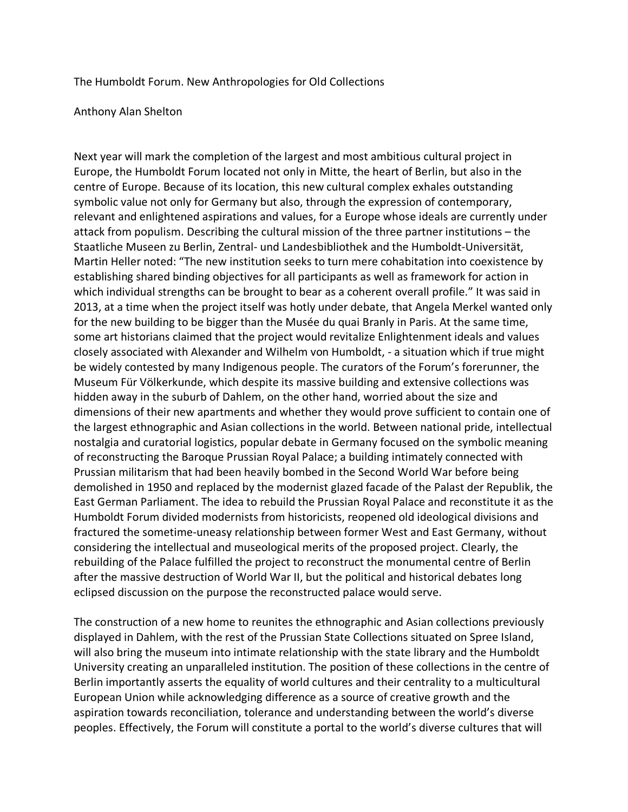## The Humboldt Forum. New Anthropologies for Old Collections

## Anthony Alan Shelton

Next year will mark the completion of the largest and most ambitious cultural project in Europe, the Humboldt Forum located not only in Mitte, the heart of Berlin, but also in the centre of Europe. Because of its location, this new cultural complex exhales outstanding symbolic value not only for Germany but also, through the expression of contemporary, relevant and enlightened aspirations and values, for a Europe whose ideals are currently under attack from populism. Describing the cultural mission of the three partner institutions – the Staatliche Museen zu Berlin, Zentral- und Landesbibliothek and the Humboldt-Universität, Martin Heller noted: "The new institution seeks to turn mere cohabitation into coexistence by establishing shared binding objectives for all participants as well as framework for action in which individual strengths can be brought to bear as a coherent overall profile." It was said in 2013, at a time when the project itself was hotly under debate, that Angela Merkel wanted only for the new building to be bigger than the Musée du quai Branly in Paris. At the same time, some art historians claimed that the project would revitalize Enlightenment ideals and values closely associated with Alexander and Wilhelm von Humboldt, - a situation which if true might be widely contested by many Indigenous people. The curators of the Forum's forerunner, the Museum Für Völkerkunde, which despite its massive building and extensive collections was hidden away in the suburb of Dahlem, on the other hand, worried about the size and dimensions of their new apartments and whether they would prove sufficient to contain one of the largest ethnographic and Asian collections in the world. Between national pride, intellectual nostalgia and curatorial logistics, popular debate in Germany focused on the symbolic meaning of reconstructing the Baroque Prussian Royal Palace; a building intimately connected with Prussian militarism that had been heavily bombed in the Second World War before being demolished in 1950 and replaced by the modernist glazed facade of the Palast der Republik, the East German Parliament. The idea to rebuild the Prussian Royal Palace and reconstitute it as the Humboldt Forum divided modernists from historicists, reopened old ideological divisions and fractured the sometime-uneasy relationship between former West and East Germany, without considering the intellectual and museological merits of the proposed project. Clearly, the rebuilding of the Palace fulfilled the project to reconstruct the monumental centre of Berlin after the massive destruction of World War II, but the political and historical debates long eclipsed discussion on the purpose the reconstructed palace would serve.

The construction of a new home to reunites the ethnographic and Asian collections previously displayed in Dahlem, with the rest of the Prussian State Collections situated on Spree Island, will also bring the museum into intimate relationship with the state library and the Humboldt University creating an unparalleled institution. The position of these collections in the centre of Berlin importantly asserts the equality of world cultures and their centrality to a multicultural European Union while acknowledging difference as a source of creative growth and the aspiration towards reconciliation, tolerance and understanding between the world's diverse peoples. Effectively, the Forum will constitute a portal to the world's diverse cultures that will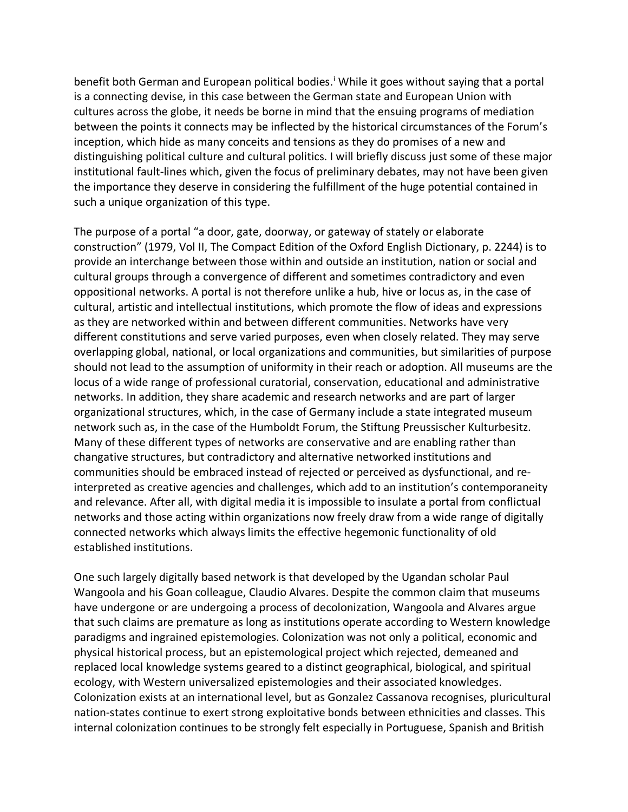benef[i](#page-5-0)t both German and European political bodies.<sup>1</sup> While it goes without saying that a portal is a connecting devise, in this case between the German state and European Union with cultures across the globe, it needs be borne in mind that the ensuing programs of mediation between the points it connects may be inflected by the historical circumstances of the Forum's inception, which hide as many conceits and tensions as they do promises of a new and distinguishing political culture and cultural politics. I will briefly discuss just some of these major institutional fault-lines which, given the focus of preliminary debates, may not have been given the importance they deserve in considering the fulfillment of the huge potential contained in such a unique organization of this type.

The purpose of a portal "a door, gate, doorway, or gateway of stately or elaborate construction" (1979, Vol II, The Compact Edition of the Oxford English Dictionary, p. 2244) is to provide an interchange between those within and outside an institution, nation or social and cultural groups through a convergence of different and sometimes contradictory and even oppositional networks. A portal is not therefore unlike a hub, hive or locus as, in the case of cultural, artistic and intellectual institutions, which promote the flow of ideas and expressions as they are networked within and between different communities. Networks have very different constitutions and serve varied purposes, even when closely related. They may serve overlapping global, national, or local organizations and communities, but similarities of purpose should not lead to the assumption of uniformity in their reach or adoption. All museums are the locus of a wide range of professional curatorial, conservation, educational and administrative networks. In addition, they share academic and research networks and are part of larger organizational structures, which, in the case of Germany include a state integrated museum network such as, in the case of the Humboldt Forum, the Stiftung Preussischer Kulturbesitz. Many of these different types of networks are conservative and are enabling rather than changative structures, but contradictory and alternative networked institutions and communities should be embraced instead of rejected or perceived as dysfunctional, and reinterpreted as creative agencies and challenges, which add to an institution's contemporaneity and relevance. After all, with digital media it is impossible to insulate a portal from conflictual networks and those acting within organizations now freely draw from a wide range of digitally connected networks which always limits the effective hegemonic functionality of old established institutions.

One such largely digitally based network is that developed by the Ugandan scholar Paul Wangoola and his Goan colleague, Claudio Alvares. Despite the common claim that museums have undergone or are undergoing a process of decolonization, Wangoola and Alvares argue that such claims are premature as long as institutions operate according to Western knowledge paradigms and ingrained epistemologies. Colonization was not only a political, economic and physical historical process, but an epistemological project which rejected, demeaned and replaced local knowledge systems geared to a distinct geographical, biological, and spiritual ecology, with Western universalized epistemologies and their associated knowledges. Colonization exists at an international level, but as Gonzalez Cassanova recognises, pluricultural nation-states continue to exert strong exploitative bonds between ethnicities and classes. This internal colonization continues to be strongly felt especially in Portuguese, Spanish and British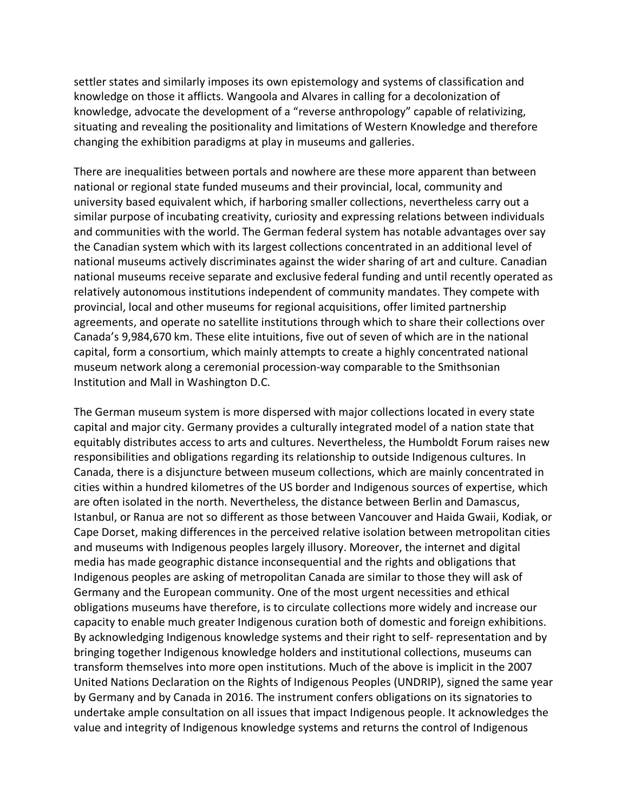settler states and similarly imposes its own epistemology and systems of classification and knowledge on those it afflicts. Wangoola and Alvares in calling for a decolonization of knowledge, advocate the development of a "reverse anthropology" capable of relativizing, situating and revealing the positionality and limitations of Western Knowledge and therefore changing the exhibition paradigms at play in museums and galleries.

There are inequalities between portals and nowhere are these more apparent than between national or regional state funded museums and their provincial, local, community and university based equivalent which, if harboring smaller collections, nevertheless carry out a similar purpose of incubating creativity, curiosity and expressing relations between individuals and communities with the world. The German federal system has notable advantages over say the Canadian system which with its largest collections concentrated in an additional level of national museums actively discriminates against the wider sharing of art and culture. Canadian national museums receive separate and exclusive federal funding and until recently operated as relatively autonomous institutions independent of community mandates. They compete with provincial, local and other museums for regional acquisitions, offer limited partnership agreements, and operate no satellite institutions through which to share their collections over Canada's 9,984,670 km. These elite intuitions, five out of seven of which are in the national capital, form a consortium, which mainly attempts to create a highly concentrated national museum network along a ceremonial procession-way comparable to the Smithsonian Institution and Mall in Washington D.C.

The German museum system is more dispersed with major collections located in every state capital and major city. Germany provides a culturally integrated model of a nation state that equitably distributes access to arts and cultures. Nevertheless, the Humboldt Forum raises new responsibilities and obligations regarding its relationship to outside Indigenous cultures. In Canada, there is a disjuncture between museum collections, which are mainly concentrated in cities within a hundred kilometres of the US border and Indigenous sources of expertise, which are often isolated in the north. Nevertheless, the distance between Berlin and Damascus, Istanbul, or Ranua are not so different as those between Vancouver and Haida Gwaii, Kodiak, or Cape Dorset, making differences in the perceived relative isolation between metropolitan cities and museums with Indigenous peoples largely illusory. Moreover, the internet and digital media has made geographic distance inconsequential and the rights and obligations that Indigenous peoples are asking of metropolitan Canada are similar to those they will ask of Germany and the European community. One of the most urgent necessities and ethical obligations museums have therefore, is to circulate collections more widely and increase our capacity to enable much greater Indigenous curation both of domestic and foreign exhibitions. By acknowledging Indigenous knowledge systems and their right to self- representation and by bringing together Indigenous knowledge holders and institutional collections, museums can transform themselves into more open institutions. Much of the above is implicit in the 2007 United Nations Declaration on the Rights of Indigenous Peoples (UNDRIP), signed the same year by Germany and by Canada in 2016. The instrument confers obligations on its signatories to undertake ample consultation on all issues that impact Indigenous people. It acknowledges the value and integrity of Indigenous knowledge systems and returns the control of Indigenous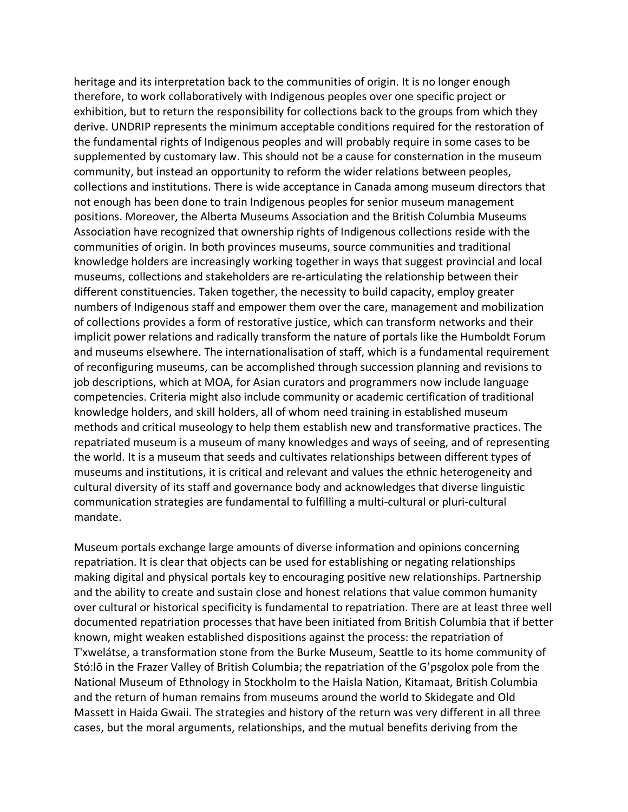heritage and its interpretation back to the communities of origin. It is no longer enough therefore, to work collaboratively with Indigenous peoples over one specific project or exhibition, but to return the responsibility for collections back to the groups from which they derive. UNDRIP represents the minimum acceptable conditions required for the restoration of the fundamental rights of Indigenous peoples and will probably require in some cases to be supplemented by customary law. This should not be a cause for consternation in the museum community, but instead an opportunity to reform the wider relations between peoples, collections and institutions. There is wide acceptance in Canada among museum directors that not enough has been done to train Indigenous peoples for senior museum management positions. Moreover, the Alberta Museums Association and the British Columbia Museums Association have recognized that ownership rights of Indigenous collections reside with the communities of origin. In both provinces museums, source communities and traditional knowledge holders are increasingly working together in ways that suggest provincial and local museums, collections and stakeholders are re-articulating the relationship between their different constituencies. Taken together, the necessity to build capacity, employ greater numbers of Indigenous staff and empower them over the care, management and mobilization of collections provides a form of restorative justice, which can transform networks and their implicit power relations and radically transform the nature of portals like the Humboldt Forum and museums elsewhere. The internationalisation of staff, which is a fundamental requirement of reconfiguring museums, can be accomplished through succession planning and revisions to job descriptions, which at MOA, for Asian curators and programmers now include language competencies. Criteria might also include community or academic certification of traditional knowledge holders, and skill holders, all of whom need training in established museum methods and critical museology to help them establish new and transformative practices. The repatriated museum is a museum of many knowledges and ways of seeing, and of representing the world. It is a museum that seeds and cultivates relationships between different types of museums and institutions, it is critical and relevant and values the ethnic heterogeneity and cultural diversity of its staff and governance body and acknowledges that diverse linguistic communication strategies are fundamental to fulfilling a multi-cultural or pluri-cultural mandate.

Museum portals exchange large amounts of diverse information and opinions concerning repatriation. It is clear that objects can be used for establishing or negating relationships making digital and physical portals key to encouraging positive new relationships. Partnership and the ability to create and sustain close and honest relations that value common humanity over cultural or historical specificity is fundamental to repatriation. There are at least three well documented repatriation processes that have been initiated from British Columbia that if better known, might weaken established dispositions against the process: the repatriation of T'xwelátse, a transformation stone from the Burke Museum, Seattle to its home community of Stó:lō in the Frazer Valley of British Columbia; the repatriation of the G'psgolox pole from the National Museum of Ethnology in Stockholm to the Haisla Nation, Kitamaat, British Columbia and the return of human remains from museums around the world to Skidegate and Old Massett in Haida Gwaii. The strategies and history of the return was very different in all three cases, but the moral arguments, relationships, and the mutual benefits deriving from the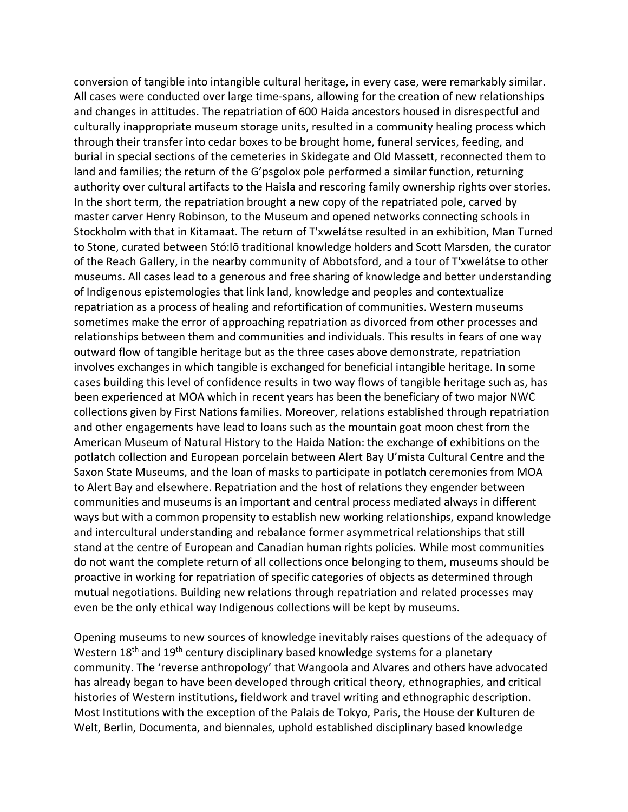conversion of tangible into intangible cultural heritage, in every case, were remarkably similar. All cases were conducted over large time-spans, allowing for the creation of new relationships and changes in attitudes. The repatriation of 600 Haida ancestors housed in disrespectful and culturally inappropriate museum storage units, resulted in a community healing process which through their transfer into cedar boxes to be brought home, funeral services, feeding, and burial in special sections of the cemeteries in Skidegate and Old Massett, reconnected them to land and families; the return of the G'psgolox pole performed a similar function, returning authority over cultural artifacts to the Haisla and rescoring family ownership rights over stories. In the short term, the repatriation brought a new copy of the repatriated pole, carved by master carver Henry Robinson, to the Museum and opened networks connecting schools in Stockholm with that in Kitamaat. The return of T'xwelátse resulted in an exhibition, Man Turned to Stone, curated between Stó:lō traditional knowledge holders and Scott Marsden, the curator of the Reach Gallery, in the nearby community of Abbotsford, and a tour of T'xwelátse to other museums. All cases lead to a generous and free sharing of knowledge and better understanding of Indigenous epistemologies that link land, knowledge and peoples and contextualize repatriation as a process of healing and refortification of communities. Western museums sometimes make the error of approaching repatriation as divorced from other processes and relationships between them and communities and individuals. This results in fears of one way outward flow of tangible heritage but as the three cases above demonstrate, repatriation involves exchanges in which tangible is exchanged for beneficial intangible heritage. In some cases building this level of confidence results in two way flows of tangible heritage such as, has been experienced at MOA which in recent years has been the beneficiary of two major NWC collections given by First Nations families. Moreover, relations established through repatriation and other engagements have lead to loans such as the mountain goat moon chest from the American Museum of Natural History to the Haida Nation: the exchange of exhibitions on the potlatch collection and European porcelain between Alert Bay U'mista Cultural Centre and the Saxon State Museums, and the loan of masks to participate in potlatch ceremonies from MOA to Alert Bay and elsewhere. Repatriation and the host of relations they engender between communities and museums is an important and central process mediated always in different ways but with a common propensity to establish new working relationships, expand knowledge and intercultural understanding and rebalance former asymmetrical relationships that still stand at the centre of European and Canadian human rights policies. While most communities do not want the complete return of all collections once belonging to them, museums should be proactive in working for repatriation of specific categories of objects as determined through mutual negotiations. Building new relations through repatriation and related processes may even be the only ethical way Indigenous collections will be kept by museums.

Opening museums to new sources of knowledge inevitably raises questions of the adequacy of Western 18<sup>th</sup> and 19<sup>th</sup> century disciplinary based knowledge systems for a planetary community. The 'reverse anthropology' that Wangoola and Alvares and others have advocated has already began to have been developed through critical theory, ethnographies, and critical histories of Western institutions, fieldwork and travel writing and ethnographic description. Most Institutions with the exception of the Palais de Tokyo, Paris, the House der Kulturen de Welt, Berlin, Documenta, and biennales, uphold established disciplinary based knowledge